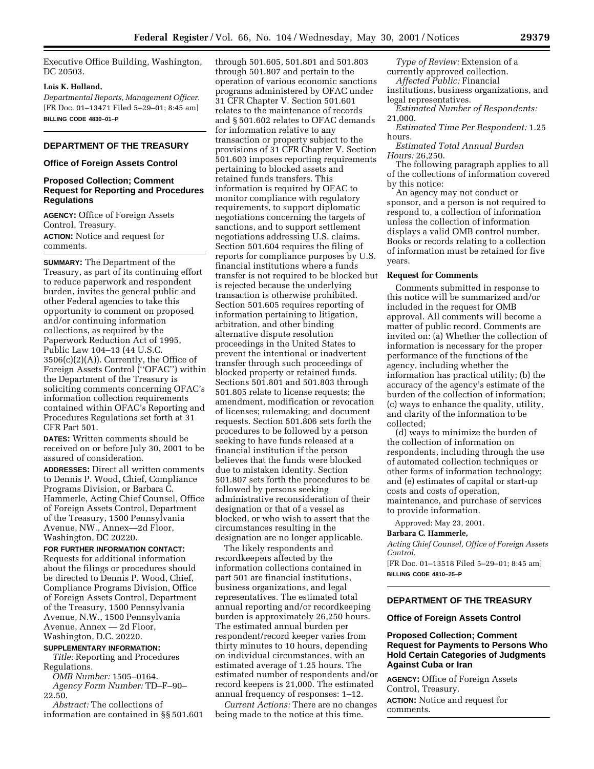Executive Office Building, Washington, DC 20503.

### **Lois K. Holland,**

*Departmental Reports, Management Officer.* [FR Doc. 01–13471 Filed 5–29–01; 8:45 am] **BILLING CODE 4830–01–P**

## **DEPARTMENT OF THE TREASURY**

#### **Office of Foreign Assets Control**

## **Proposed Collection; Comment Request for Reporting and Procedures Regulations**

**AGENCY:** Office of Foreign Assets Control, Treasury.

**ACTION:** Notice and request for comments.

**SUMMARY:** The Department of the Treasury, as part of its continuing effort to reduce paperwork and respondent burden, invites the general public and other Federal agencies to take this opportunity to comment on proposed and/or continuing information collections, as required by the Paperwork Reduction Act of 1995, Public Law 104–13 (44 U.S.C.  $3506(c)(2)(A)$ . Currently, the Office of Foreign Assets Control (''OFAC'') within the Department of the Treasury is soliciting comments concerning OFAC's information collection requirements contained within OFAC's Reporting and Procedures Regulations set forth at 31 CFR Part 501.

**DATES:** Written comments should be received on or before July 30, 2001 to be assured of consideration.

**ADDRESSES:** Direct all written comments to Dennis P. Wood, Chief, Compliance Programs Division, or Barbara C. Hammerle, Acting Chief Counsel, Office of Foreign Assets Control, Department of the Treasury, 1500 Pennsylvania Avenue, NW., Annex—2d Floor, Washington, DC 20220.

## **FOR FURTHER INFORMATION CONTACT:**

Requests for additional information about the filings or procedures should be directed to Dennis P. Wood, Chief, Compliance Programs Division, Office of Foreign Assets Control, Department of the Treasury, 1500 Pennsylvania Avenue, N.W., 1500 Pennsylvania Avenue, Annex — 2d Floor, Washington, D.C. 20220.

### **SUPPLEMENTARY INFORMATION:**

*Title:* Reporting and Procedures Regulations.

*OMB Number:* 1505–0164. *Agency Form Number:* TD–F–90– 22.50.

*Abstract:* The collections of information are contained in §§ 501.601

through 501.605, 501.801 and 501.803 through 501.807 and pertain to the operation of various economic sanctions programs administered by OFAC under 31 CFR Chapter V. Section 501.601 relates to the maintenance of records and § 501.602 relates to OFAC demands for information relative to any transaction or property subject to the provisions of 31 CFR Chapter V. Section 501.603 imposes reporting requirements pertaining to blocked assets and retained funds transfers. This information is required by OFAC to monitor compliance with regulatory requirements, to support diplomatic negotiations concerning the targets of sanctions, and to support settlement negotiations addressing U.S. claims. Section 501.604 requires the filing of reports for compliance purposes by U.S. financial institutions where a funds transfer is not required to be blocked but is rejected because the underlying transaction is otherwise prohibited. Section 501.605 requires reporting of information pertaining to litigation, arbitration, and other binding alternative dispute resolution proceedings in the United States to prevent the intentional or inadvertent transfer through such proceedings of blocked property or retained funds. Sections 501.801 and 501.803 through 501.805 relate to license requests; the amendment, modification or revocation of licenses; rulemaking; and document requests. Section 501.806 sets forth the procedures to be followed by a person seeking to have funds released at a financial institution if the person believes that the funds were blocked due to mistaken identity. Section 501.807 sets forth the procedures to be followed by persons seeking administrative reconsideration of their designation or that of a vessel as blocked, or who wish to assert that the circumstances resulting in the designation are no longer applicable.

The likely respondents and recordkeepers affected by the information collections contained in part 501 are financial institutions, business organizations, and legal representatives. The estimated total annual reporting and/or recordkeeping burden is approximately 26,250 hours. The estimated annual burden per respondent/record keeper varies from thirty minutes to 10 hours, depending on individual circumstances, with an estimated average of 1.25 hours. The estimated number of respondents and/or record keepers is 21,000. The estimated annual frequency of responses: 1–12.

*Current Actions:* There are no changes being made to the notice at this time.

*Type of Review:* Extension of a currently approved collection.

*Affected Public:* Financial

institutions, business organizations, and legal representatives.

*Estimated Number of Respondents:* 21,000.

*Estimated Time Per Respondent:* 1.25 hours.

*Estimated Total Annual Burden Hours:* 26,250.

The following paragraph applies to all of the collections of information covered by this notice:

An agency may not conduct or sponsor, and a person is not required to respond to, a collection of information unless the collection of information displays a valid OMB control number. Books or records relating to a collection of information must be retained for five years.

#### **Request for Comments**

Comments submitted in response to this notice will be summarized and/or included in the request for OMB approval. All comments will become a matter of public record. Comments are invited on: (a) Whether the collection of information is necessary for the proper performance of the functions of the agency, including whether the information has practical utility; (b) the accuracy of the agency's estimate of the burden of the collection of information; (c) ways to enhance the quality, utility, and clarity of the information to be collected;

(d) ways to minimize the burden of the collection of information on respondents, including through the use of automated collection techniques or other forms of information technology; and (e) estimates of capital or start-up costs and costs of operation, maintenance, and purchase of services to provide information.

Approved: May 23, 2001.

#### **Barbara C. Hammerle,**

*Acting Chief Counsel, Office of Foreign Assets Control.*

[FR Doc. 01–13518 Filed 5–29–01; 8:45 am] **BILLING CODE 4810–25–P**

# **DEPARTMENT OF THE TREASURY**

# **Office of Foreign Assets Control**

## **Proposed Collection; Comment Request for Payments to Persons Who Hold Certain Categories of Judgments Against Cuba or Iran**

**AGENCY:** Office of Foreign Assets Control, Treasury. **ACTION:** Notice and request for comments.